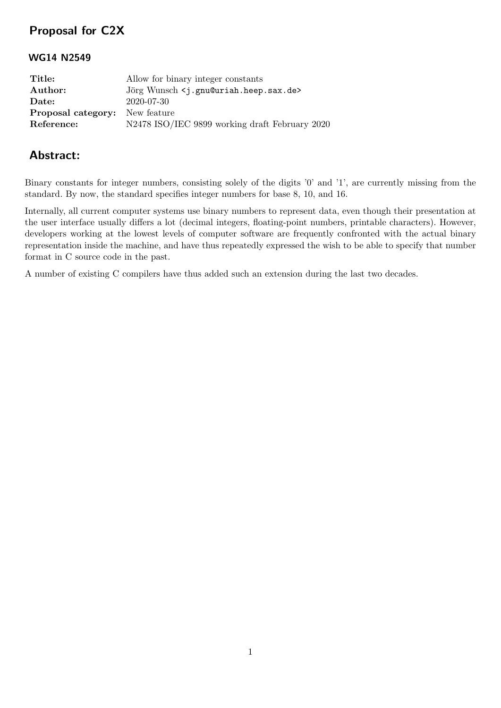# Proposal for C2X

### WG14 N2549

| Title:                                | Allow for binary integer constants                              |
|---------------------------------------|-----------------------------------------------------------------|
| Author:                               | Jörg Wunsch <j.gnu@uriah.heep.sax.de></j.gnu@uriah.heep.sax.de> |
| Date:                                 | 2020-07-30                                                      |
| <b>Proposal category:</b> New feature |                                                                 |
| Reference:                            | N2478 ISO/IEC 9899 working draft February 2020                  |

## Abstract:

Binary constants for integer numbers, consisting solely of the digits '0' and '1', are currently missing from the standard. By now, the standard specifies integer numbers for base 8, 10, and 16.

Internally, all current computer systems use binary numbers to represent data, even though their presentation at the user interface usually differs a lot (decimal integers, floating-point numbers, printable characters). However, developers working at the lowest levels of computer software are frequently confronted with the actual binary representation inside the machine, and have thus repeatedly expressed the wish to be able to specify that number format in C source code in the past.

A number of existing C compilers have thus added such an extension during the last two decades.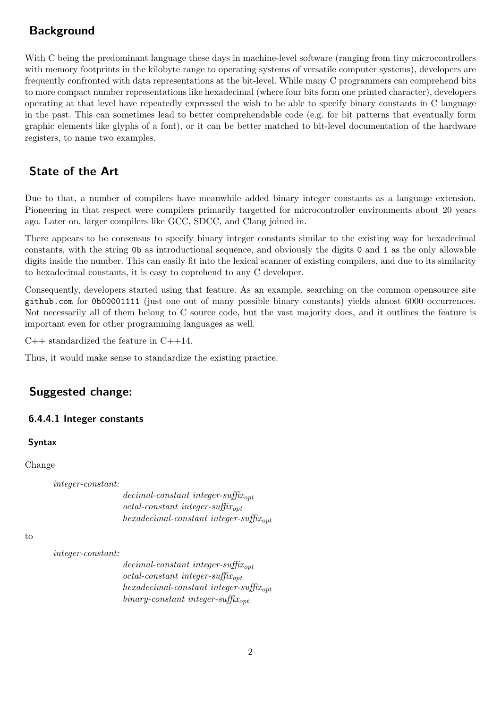# **Background**

With C being the predominant language these days in machine-level software (ranging from tiny microcontrollers with memory footprints in the kilobyte range to operating systems of versatile computer systems), developers are frequently confronted with data representations at the bit-level. While many C programmers can comprehend bits to more compact number representations like hexadecimal (where four bits form one printed character), developers operating at that level have repeatedly expressed the wish to be able to specify binary constants in C language in the past. This can sometimes lead to better comprehendable code (e.g. for bit patterns that eventually form graphic elements like glyphs of a font), or it can be better matched to bit-level documentation of the hardware registers, to name two examples.

# State of the Art

Due to that, a number of compilers have meanwhile added binary integer constants as a language extension. Pioneering in that respect were compilers primarily targetted for microcontroller environments about 20 years ago. Later on, larger compilers like GCC, SDCC, and Clang joined in.

There appears to be consensus to specify binary integer constants similar to the existing way for hexadecimal constants, with the string 0b as introductional sequence, and obviously the digits 0 and 1 as the only allowable digits inside the number. This can easily fit into the lexical scanner of existing compilers, and due to its similarity to hexadecimal constants, it is easy to coprehend to any C developer.

Consequently, developers started using that feature. As an example, searching on the common opensource site github.com for 0b00001111 (just one out of many possible binary constants) yields almost 6000 occurrences. Not necessarily all of them belong to C source code, but the vast majority does, and it outlines the feature is important even for other programming languages as well.

 $C++$  standardized the feature in  $C++14$ .

Thus, it would make sense to standardize the existing practice.

## Suggested change:

### 6.4.4.1 Integer constants

### Syntax

Change

integer-constant:

 $decimal-constant$  integer-suffix $_{\text{cont}}$  $octal-constant\ integer-sufficient$  $hexadecimal-constant$  integer-suffix $_{opt}$ 

to

integer-constant:

 $decimal\text{-}constant\ integer\text{-}suffix_{opt}$  $octal-constant\ integer-sufficient$  $hexadecimal-constant$  integer-suffix $_{opt}$ binary-constant integer-suffix<sub>opt</sub>